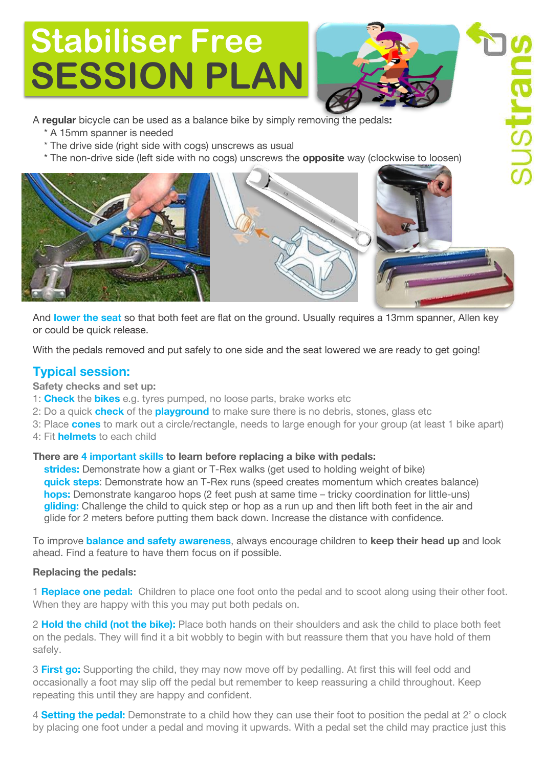# **Stabiliser Free SESSION PLAN**



A **regular** bicycle can be used as a balance bike by simply removing the pedals**:**

- \* A 15mm spanner is needed
- \* The drive side (right side with cogs) unscrews as usual
- \* The non-drive side (left side with no cogs) unscrews the **opposite** way [\(clockwise to loosen](https://www.google.co.uk/url?sa=i&rct=j&q=&esrc=s&source=images&cd=&cad=rja&uact=8&ved=0ahUKEwiZ7pfbr8HPAhUsKMAKHdlGAUQQjRwIBw&url=https://totalwomenscycling.com/road-cycling/maintenance/adjust-saddle-height-angle-32343/&bvm=bv.134495766,d.d24&psig=AFQjCNGv-htMCDMbDVBNjGnubDDa8fL6Eg&ust=1475678043173163))



And **lower the seat** so that both feet are flat on the ground. Usually requires a 13mm spanner, Allen key or could be quick release.

With the pedals removed and put safely to one side and the seat lowered we are ready to get going!

## **Typical session:**

**Safety checks and set up:**

- 1: **Check** the **bikes** e.g. tyres pumped, no loose parts, brake works etc
- 2: Do a quick **check** of the **playground** to make sure there is no debris, stones, glass etc
- 3: Place **cones** to mark out a circle/rectangle, needs to large enough for your group (at least 1 bike apart)
- 4: Fit **helmets** to each child

### **There are 4 important skills to learn before replacing a bike with pedals:**

 **strides:** Demonstrate how a giant or T-Rex walks (get used to holding weight of bike)  **quick steps**: Demonstrate how an T-Rex runs (speed creates momentum which creates balance)  **hops:** Demonstrate kangaroo hops (2 feet push at same time – tricky coordination for little-uns)  **gliding:** Challenge the child to quick step or hop as a run up and then lift both feet in the air and glide for 2 meters before putting them back down. Increase the distance with confidence.

To improve **balance and safety awareness**, always encourage children to **keep their head up** and look ahead. Find a feature to have them focus on if possible.

### **Replacing the pedals:**

1 **Replace one pedal:** Children to place one foot onto the pedal and to scoot along using their other foot. When they are happy with this you may put both pedals on.

2 **Hold the child (not the bike):** Place both hands on their shoulders and ask the child to place both feet on the pedals. They will find it a bit wobbly to begin with but reassure them that you have hold of them safely.

3 **First go:** Supporting the child, they may now move off by pedalling. At first this will feel odd and occasionally a foot may slip off the pedal but remember to keep reassuring a child throughout. Keep repeating this until they are happy and confident.

4 **Setting the pedal:** Demonstrate to a child how they can use their foot to position the pedal at 2' o clock by placing one foot under a pedal and moving it upwards. With a pedal set the child may practice just this